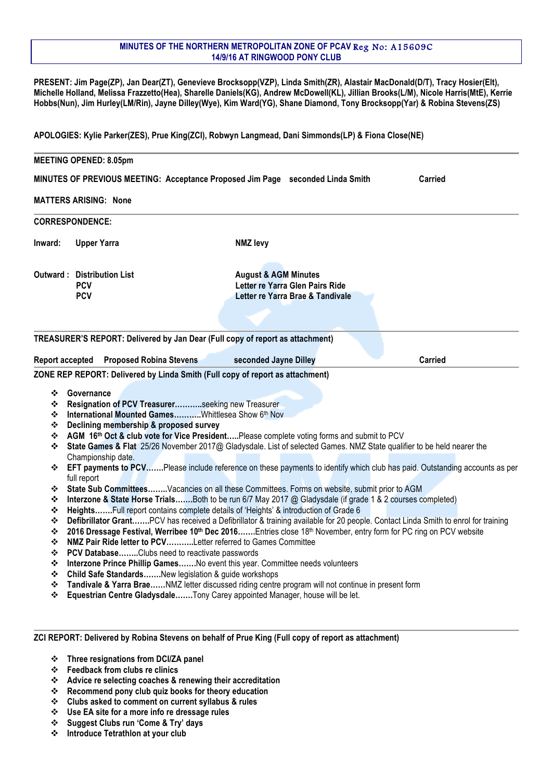## **MINUTES OF THE NORTHERN METROPOLITAN ZONE OF PCAV** Reg No: A15609C **14/9/16 AT RINGWOOD PONY CLUB**

**PRESENT: Jim Page(ZP), Jan Dear(ZT), Genevieve Brocksopp(VZP), Linda Smith(ZR), Alastair MacDonald(D/T), Tracy Hosier(Elt), Michelle Holland, Melissa Frazzetto(Hea), Sharelle Daniels(KG), Andrew McDowell(KL), Jillian Brooks(L/M), Nicole Harris(MtE), Kerrie Hobbs(Nun), Jim Hurley(LM/Rin), Jayne Dilley(Wye), Kim Ward(YG), Shane Diamond, Tony Brocksopp(Yar) & Robina Stevens(ZS)**

**APOLOGIES: Kylie Parker(ZES), Prue King(ZCI), Robwyn Langmead, Dani Simmonds(LP) & Fiona Close(NE)**

|                                                                                           | <b>MEETING OPENED: 8.05pm</b>                                                                                                     |                                                                                                                            |                |
|-------------------------------------------------------------------------------------------|-----------------------------------------------------------------------------------------------------------------------------------|----------------------------------------------------------------------------------------------------------------------------|----------------|
| MINUTES OF PREVIOUS MEETING: Acceptance Proposed Jim Page seconded Linda Smith<br>Carried |                                                                                                                                   |                                                                                                                            |                |
|                                                                                           | <b>MATTERS ARISING: None</b>                                                                                                      |                                                                                                                            |                |
|                                                                                           | <b>CORRESPONDENCE:</b>                                                                                                            |                                                                                                                            |                |
| Inward:                                                                                   | <b>Upper Yarra</b>                                                                                                                | <b>NMZ levy</b>                                                                                                            |                |
|                                                                                           | <b>Outward: Distribution List</b><br><b>PCV</b>                                                                                   | <b>August &amp; AGM Minutes</b><br>Letter re Yarra Glen Pairs Ride                                                         |                |
|                                                                                           | <b>PCV</b>                                                                                                                        | Letter re Yarra Brae & Tandivale                                                                                           |                |
|                                                                                           |                                                                                                                                   |                                                                                                                            |                |
|                                                                                           |                                                                                                                                   |                                                                                                                            |                |
|                                                                                           | TREASURER'S REPORT: Delivered by Jan Dear (Full copy of report as attachment)                                                     |                                                                                                                            |                |
|                                                                                           |                                                                                                                                   |                                                                                                                            |                |
| <b>Report accepted</b>                                                                    | <b>Proposed Robina Stevens</b>                                                                                                    | seconded Jayne Dilley                                                                                                      | <b>Carried</b> |
|                                                                                           | ZONE REP REPORT: Delivered by Linda Smith (Full copy of report as attachment)                                                     |                                                                                                                            |                |
| ❖                                                                                         | Governance                                                                                                                        |                                                                                                                            |                |
| ❖                                                                                         | Resignation of PCV Treasurerseeking new Treasurer                                                                                 |                                                                                                                            |                |
|                                                                                           | International Mounted GamesWhittlesea Show 6th Nov<br>❖                                                                           |                                                                                                                            |                |
| ❖                                                                                         | Declining membership & proposed survey                                                                                            |                                                                                                                            |                |
| ❖                                                                                         | AGM 16th Oct & club vote for Vice PresidentPlease complete voting forms and submit to PCV                                         |                                                                                                                            |                |
| ❖                                                                                         | State Games & Flat 25/26 November 2017@ Gladysdale. List of selected Games. NMZ State qualifier to be held nearer the             |                                                                                                                            |                |
|                                                                                           | Championship date.                                                                                                                |                                                                                                                            |                |
| ❖                                                                                         |                                                                                                                                   | EFT payments to PCVPlease include reference on these payments to identify which club has paid. Outstanding accounts as per |                |
|                                                                                           | full report                                                                                                                       |                                                                                                                            |                |
| ❖                                                                                         | State Sub CommitteesVacancies on all these Committees. Forms on website, submit prior to AGM                                      |                                                                                                                            |                |
| ❖                                                                                         | Interzone & State Horse TrialsBoth to be run 6/7 May 2017 @ Gladysdale (if grade 1 & 2 courses completed)                         |                                                                                                                            |                |
| ❖                                                                                         | Heights Full report contains complete details of 'Heights' & introduction of Grade 6                                              |                                                                                                                            |                |
| ❖                                                                                         | Defibrillator GrantPCV has received a Defibrillator & training available for 20 people. Contact Linda Smith to enrol for training |                                                                                                                            |                |
| ❖                                                                                         | 2016 Dressage Festival, Werribee 10th Dec 2016Entries close 18th November, entry form for PC ring on PCV website                  |                                                                                                                            |                |
| ❖                                                                                         | NMZ Pair Ride letter to PCVLetter referred to Games Committee                                                                     |                                                                                                                            |                |
| ❖                                                                                         | PCV DatabaseClubs need to reactivate passwords                                                                                    |                                                                                                                            |                |
| ❖                                                                                         | Interzone Prince Phillip GamesNo event this year. Committee needs volunteers                                                      |                                                                                                                            |                |
| ❖                                                                                         | Child Safe StandardsNew legislation & guide workshops                                                                             |                                                                                                                            |                |
| ❖                                                                                         | Tandivale & Yarra BraeNMZ letter discussed riding centre program will not continue in present form                                |                                                                                                                            |                |
|                                                                                           | Equestrian Centre GladysdaleTony Carey appointed Manager, house will be let.<br>❖                                                 |                                                                                                                            |                |
|                                                                                           |                                                                                                                                   |                                                                                                                            |                |
|                                                                                           |                                                                                                                                   |                                                                                                                            |                |
|                                                                                           |                                                                                                                                   | ZCI REPORT: Delivered by Robina Stevens on behalf of Prue King (Full copy of report as attachment)                         |                |
|                                                                                           |                                                                                                                                   |                                                                                                                            |                |

- ! **Three resignations from DCI/ZA panel**
- ! **Feedback from clubs re clinics**
- ! **Advice re selecting coaches & renewing their accreditation**
- ! **Recommend pony club quiz books for theory education**
- ! **Clubs asked to comment on current syllabus & rules**
- ! **Use EA site for a more info re dressage rules**
- ! **Suggest Clubs run 'Come & Try' days**
- ! **Introduce Tetrathlon at your club**